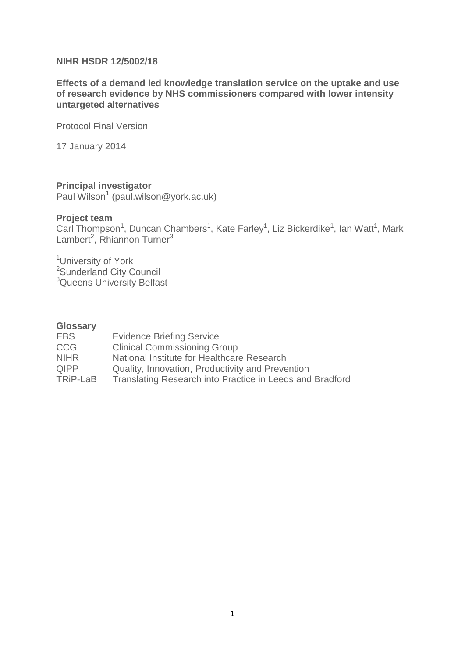### **NIHR HSDR 12/5002/18**

**Effects of a demand led knowledge translation service on the uptake and use of research evidence by NHS commissioners compared with lower intensity untargeted alternatives**

Protocol Final Version

17 January 2014

### **Principal investigator**

Paul Wilson<sup>1</sup> (paul.wilson@york.ac.uk)

### **Project team**

Carl Thompson<sup>1</sup>, Duncan Chambers<sup>1</sup>, Kate Farley<sup>1</sup>, Liz Bickerdike<sup>1</sup>, Ian Watt<sup>1</sup>, Mark Lambert<sup>2</sup>, Rhiannon Turner<sup>3</sup>

<sup>1</sup>University of York <sup>2</sup>Sunderland City Council <sup>3</sup>Queens University Belfast

#### **Glossary**

| <b>EBS</b>  | <b>Evidence Briefing Service</b>                         |  |
|-------------|----------------------------------------------------------|--|
| CCG.        | <b>Clinical Commissioning Group</b>                      |  |
| <b>NIHR</b> | National Institute for Healthcare Research               |  |
| <b>QIPP</b> | Quality, Innovation, Productivity and Prevention         |  |
| TRiP-LaB    | Translating Research into Practice in Leeds and Bradford |  |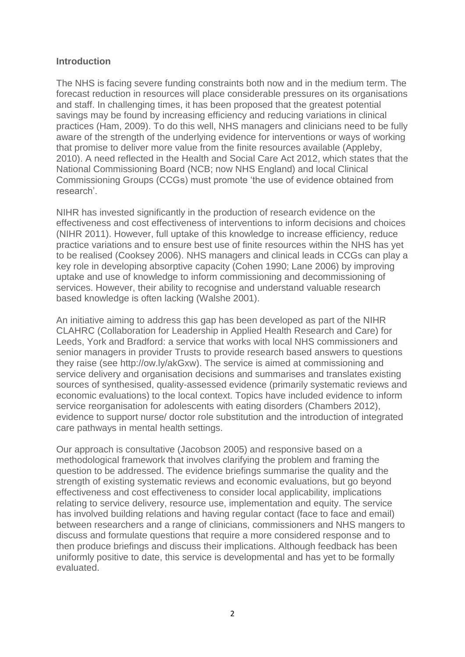### **Introduction**

The NHS is facing severe funding constraints both now and in the medium term. The forecast reduction in resources will place considerable pressures on its organisations and staff. In challenging times, it has been proposed that the greatest potential savings may be found by increasing efficiency and reducing variations in clinical practices (Ham, 2009). To do this well, NHS managers and clinicians need to be fully aware of the strength of the underlying evidence for interventions or ways of working that promise to deliver more value from the finite resources available (Appleby, 2010). A need reflected in the Health and Social Care Act 2012, which states that the National Commissioning Board (NCB; now NHS England) and local Clinical Commissioning Groups (CCGs) must promote 'the use of evidence obtained from research'.

NIHR has invested significantly in the production of research evidence on the effectiveness and cost effectiveness of interventions to inform decisions and choices (NIHR 2011). However, full uptake of this knowledge to increase efficiency, reduce practice variations and to ensure best use of finite resources within the NHS has yet to be realised (Cooksey 2006). NHS managers and clinical leads in CCGs can play a key role in developing absorptive capacity (Cohen 1990; Lane 2006) by improving uptake and use of knowledge to inform commissioning and decommissioning of services. However, their ability to recognise and understand valuable research based knowledge is often lacking (Walshe 2001).

An initiative aiming to address this gap has been developed as part of the NIHR CLAHRC (Collaboration for Leadership in Applied Health Research and Care) for Leeds, York and Bradford: a service that works with local NHS commissioners and senior managers in provider Trusts to provide research based answers to questions they raise (see [http://ow.ly/akGxw\)](http://ow.ly/akGxw). The service is aimed at commissioning and service delivery and organisation decisions and summarises and translates existing sources of synthesised, quality-assessed evidence (primarily systematic reviews and economic evaluations) to the local context. Topics have included evidence to inform service reorganisation for adolescents with eating disorders (Chambers 2012), evidence to support nurse/ doctor role substitution and the introduction of integrated care pathways in mental health settings.

Our approach is consultative (Jacobson 2005) and responsive based on a methodological framework that involves clarifying the problem and framing the question to be addressed. The evidence briefings summarise the quality and the strength of existing systematic reviews and economic evaluations, but go beyond effectiveness and cost effectiveness to consider local applicability, implications relating to service delivery, resource use, implementation and equity. The service has involved building relations and having regular contact (face to face and email) between researchers and a range of clinicians, commissioners and NHS mangers to discuss and formulate questions that require a more considered response and to then produce briefings and discuss their implications. Although feedback has been uniformly positive to date, this service is developmental and has yet to be formally evaluated.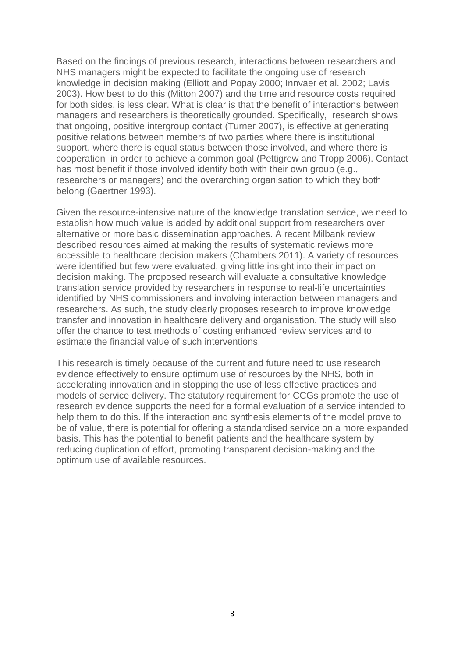Based on the findings of previous research, interactions between researchers and NHS managers might be expected to facilitate the ongoing use of research knowledge in decision making (Elliott and Popay 2000; Innvaer et al. 2002; Lavis 2003). How best to do this (Mitton 2007) and the time and resource costs required for both sides, is less clear. What is clear is that the benefit of interactions between managers and researchers is theoretically grounded. Specifically, research shows that ongoing, positive intergroup contact (Turner 2007), is effective at generating positive relations between members of two parties where there is institutional support, where there is equal status between those involved, and where there is cooperation in order to achieve a common goal (Pettigrew and Tropp 2006). Contact has most benefit if those involved identify both with their own group (e.g., researchers or managers) and the overarching organisation to which they both belong (Gaertner 1993).

Given the resource-intensive nature of the knowledge translation service, we need to establish how much value is added by additional support from researchers over alternative or more basic dissemination approaches. A recent Milbank review described resources aimed at making the results of systematic reviews more accessible to healthcare decision makers (Chambers 2011). A variety of resources were identified but few were evaluated, giving little insight into their impact on decision making. The proposed research will evaluate a consultative knowledge translation service provided by researchers in response to real-life uncertainties identified by NHS commissioners and involving interaction between managers and researchers. As such, the study clearly proposes research to improve knowledge transfer and innovation in healthcare delivery and organisation. The study will also offer the chance to test methods of costing enhanced review services and to estimate the financial value of such interventions.

This research is timely because of the current and future need to use research evidence effectively to ensure optimum use of resources by the NHS, both in accelerating innovation and in stopping the use of less effective practices and models of service delivery. The statutory requirement for CCGs promote the use of research evidence supports the need for a formal evaluation of a service intended to help them to do this. If the interaction and synthesis elements of the model prove to be of value, there is potential for offering a standardised service on a more expanded basis. This has the potential to benefit patients and the healthcare system by reducing duplication of effort, promoting transparent decision-making and the optimum use of available resources.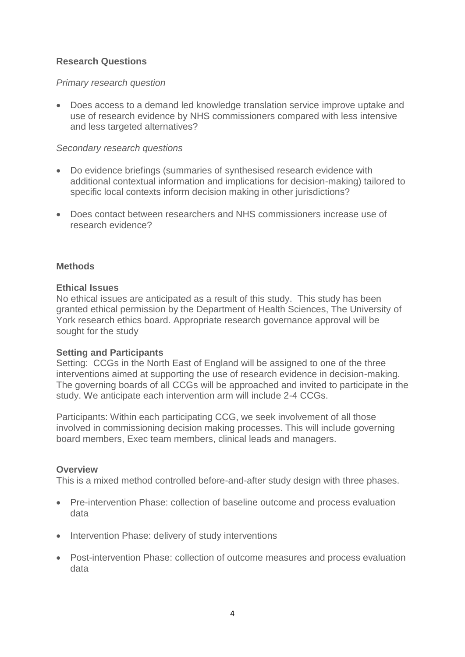## **Research Questions**

## *Primary research question*

 Does access to a demand led knowledge translation service improve uptake and use of research evidence by NHS commissioners compared with less intensive and less targeted alternatives?

### *Secondary research questions*

- Do evidence briefings (summaries of synthesised research evidence with additional contextual information and implications for decision-making) tailored to specific local contexts inform decision making in other jurisdictions?
- Does contact between researchers and NHS commissioners increase use of research evidence?

### **Methods**

### **Ethical Issues**

No ethical issues are anticipated as a result of this study. This study has been granted ethical permission by the Department of Health Sciences, The University of York research ethics board. Appropriate research governance approval will be sought for the study

### **Setting and Participants**

Setting: CCGs in the North East of England will be assigned to one of the three interventions aimed at supporting the use of research evidence in decision-making. The governing boards of all CCGs will be approached and invited to participate in the study. We anticipate each intervention arm will include 2-4 CCGs.

Participants: Within each participating CCG, we seek involvement of all those involved in commissioning decision making processes. This will include governing board members, Exec team members, clinical leads and managers.

### **Overview**

This is a mixed method controlled before-and-after study design with three phases.

- Pre-intervention Phase: collection of baseline outcome and process evaluation data
- Intervention Phase: delivery of study interventions
- Post-intervention Phase: collection of outcome measures and process evaluation data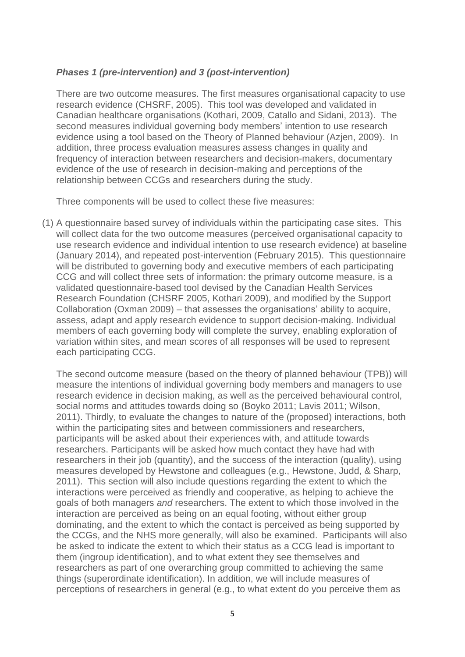### *Phases 1 (pre-intervention) and 3 (post-intervention)*

There are two outcome measures. The first measures organisational capacity to use research evidence (CHSRF, 2005). This tool was developed and validated in Canadian healthcare organisations (Kothari, 2009, Catallo and Sidani, 2013). The second measures individual governing body members' intention to use research evidence using a tool based on the Theory of Planned behaviour (Azjen, 2009). In addition, three process evaluation measures assess changes in quality and frequency of interaction between researchers and decision-makers, documentary evidence of the use of research in decision-making and perceptions of the relationship between CCGs and researchers during the study.

Three components will be used to collect these five measures:

(1) A questionnaire based survey of individuals within the participating case sites. This will collect data for the two outcome measures (perceived organisational capacity to use research evidence and individual intention to use research evidence) at baseline (January 2014), and repeated post-intervention (February 2015). This questionnaire will be distributed to governing body and executive members of each participating CCG and will collect three sets of information: the primary outcome measure, is a validated questionnaire-based tool devised by the Canadian Health Services Research Foundation (CHSRF 2005, Kothari 2009), and modified by the Support Collaboration (Oxman 2009) – that assesses the organisations' ability to acquire, assess, adapt and apply research evidence to support decision-making. Individual members of each governing body will complete the survey, enabling exploration of variation within sites, and mean scores of all responses will be used to represent each participating CCG.

The second outcome measure (based on the theory of planned behaviour (TPB)) will measure the intentions of individual governing body members and managers to use research evidence in decision making, as well as the perceived behavioural control, social norms and attitudes towards doing so (Boyko 2011; Lavis 2011; Wilson, 2011). Thirdly, to evaluate the changes to nature of the (proposed) interactions, both within the participating sites and between commissioners and researchers, participants will be asked about their experiences with, and attitude towards researchers. Participants will be asked how much contact they have had with researchers in their job (quantity), and the success of the interaction (quality), using measures developed by Hewstone and colleagues (e.g., Hewstone, Judd, & Sharp, 2011). This section will also include questions regarding the extent to which the interactions were perceived as friendly and cooperative, as helping to achieve the goals of both managers *and* researchers. The extent to which those involved in the interaction are perceived as being on an equal footing, without either group dominating, and the extent to which the contact is perceived as being supported by the CCGs, and the NHS more generally, will also be examined. Participants will also be asked to indicate the extent to which their status as a CCG lead is important to them (ingroup identification), and to what extent they see themselves and researchers as part of one overarching group committed to achieving the same things (superordinate identification). In addition, we will include measures of perceptions of researchers in general (e.g., to what extent do you perceive them as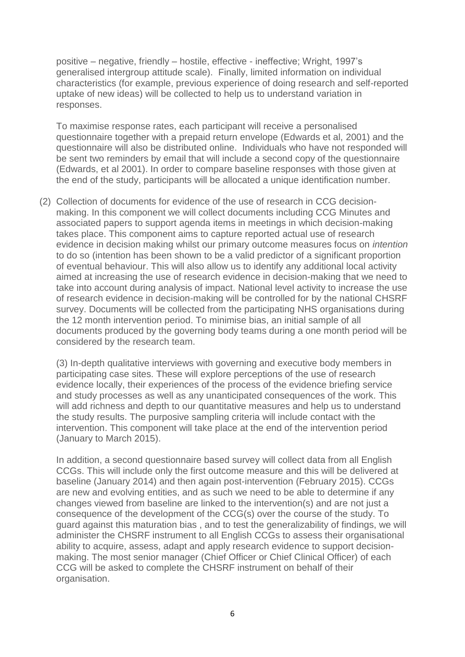positive – negative, friendly – hostile, effective - ineffective; Wright, 1997's generalised intergroup attitude scale). Finally, limited information on individual characteristics (for example, previous experience of doing research and self-reported uptake of new ideas) will be collected to help us to understand variation in responses.

To maximise response rates, each participant will receive a personalised questionnaire together with a prepaid return envelope (Edwards et al, 2001) and the questionnaire will also be distributed online. Individuals who have not responded will be sent two reminders by email that will include a second copy of the questionnaire (Edwards, et al 2001). In order to compare baseline responses with those given at the end of the study, participants will be allocated a unique identification number.

(2) Collection of documents for evidence of the use of research in CCG decisionmaking. In this component we will collect documents including CCG Minutes and associated papers to support agenda items in meetings in which decision-making takes place. This component aims to capture reported actual use of research evidence in decision making whilst our primary outcome measures focus on *intention* to do so (intention has been shown to be a valid predictor of a significant proportion of eventual behaviour. This will also allow us to identify any additional local activity aimed at increasing the use of research evidence in decision-making that we need to take into account during analysis of impact. National level activity to increase the use of research evidence in decision-making will be controlled for by the national CHSRF survey. Documents will be collected from the participating NHS organisations during the 12 month intervention period. To minimise bias, an initial sample of all documents produced by the governing body teams during a one month period will be considered by the research team.

(3) In-depth qualitative interviews with governing and executive body members in participating case sites. These will explore perceptions of the use of research evidence locally, their experiences of the process of the evidence briefing service and study processes as well as any unanticipated consequences of the work. This will add richness and depth to our quantitative measures and help us to understand the study results. The purposive sampling criteria will include contact with the intervention. This component will take place at the end of the intervention period (January to March 2015).

In addition, a second questionnaire based survey will collect data from all English CCGs. This will include only the first outcome measure and this will be delivered at baseline (January 2014) and then again post-intervention (February 2015). CCGs are new and evolving entities, and as such we need to be able to determine if any changes viewed from baseline are linked to the intervention(s) and are not just a consequence of the development of the CCG(s) over the course of the study. To guard against this maturation bias , and to test the generalizability of findings, we will administer the CHSRF instrument to all English CCGs to assess their organisational ability to acquire, assess, adapt and apply research evidence to support decisionmaking. The most senior manager (Chief Officer or Chief Clinical Officer) of each CCG will be asked to complete the CHSRF instrument on behalf of their organisation.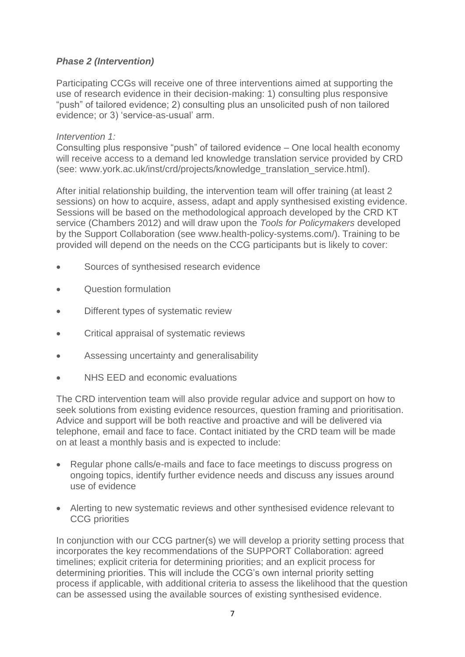# *Phase 2 (Intervention)*

Participating CCGs will receive one of three interventions aimed at supporting the use of research evidence in their decision-making: 1) consulting plus responsive "push" of tailored evidence; 2) consulting plus an unsolicited push of non tailored evidence; or 3) 'service-as-usual' arm.

### *Intervention 1:*

Consulting plus responsive "push" of tailored evidence *–* One local health economy will receive access to a demand led knowledge translation service provided by CRD (see: www.york.ac.uk/inst/crd/projects/knowledge\_translation\_service.html).

After initial relationship building, the intervention team will offer training (at least 2 sessions) on how to acquire, assess, adapt and apply synthesised existing evidence. Sessions will be based on the methodological approach developed by the CRD KT service (Chambers 2012) and will draw upon the *Tools for Policymakers* developed by the Support Collaboration (see www.health-policy-systems.com/). Training to be provided will depend on the needs on the CCG participants but is likely to cover:

- Sources of synthesised research evidence
- Question formulation
- Different types of systematic review
- Critical appraisal of systematic reviews
- Assessing uncertainty and generalisability
- NHS EED and economic evaluations

The CRD intervention team will also provide regular advice and support on how to seek solutions from existing evidence resources, question framing and prioritisation. Advice and support will be both reactive and proactive and will be delivered via telephone, email and face to face. Contact initiated by the CRD team will be made on at least a monthly basis and is expected to include:

- Regular phone calls/e-mails and face to face meetings to discuss progress on ongoing topics, identify further evidence needs and discuss any issues around use of evidence
- Alerting to new systematic reviews and other synthesised evidence relevant to CCG priorities

In conjunction with our CCG partner(s) we will develop a priority setting process that incorporates the key recommendations of the SUPPORT Collaboration: agreed timelines; explicit criteria for determining priorities; and an explicit process for determining priorities. This will include the CCG's own internal priority setting process if applicable, with additional criteria to assess the likelihood that the question can be assessed using the available sources of existing synthesised evidence.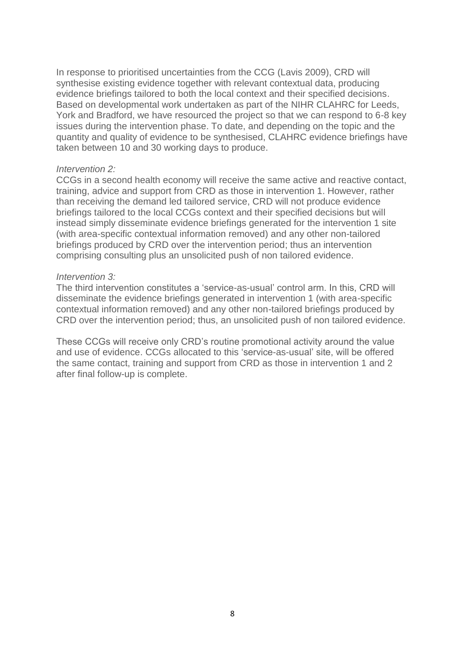In response to prioritised uncertainties from the CCG (Lavis 2009), CRD will synthesise existing evidence together with relevant contextual data, producing evidence briefings tailored to both the local context and their specified decisions. Based on developmental work undertaken as part of the NIHR CLAHRC for Leeds, York and Bradford, we have resourced the project so that we can respond to 6-8 key issues during the intervention phase. To date, and depending on the topic and the quantity and quality of evidence to be synthesised, CLAHRC evidence briefings have taken between 10 and 30 working days to produce.

#### *Intervention 2:*

CCGs in a second health economy will receive the same active and reactive contact, training, advice and support from CRD as those in intervention 1. However, rather than receiving the demand led tailored service, CRD will not produce evidence briefings tailored to the local CCGs context and their specified decisions but will instead simply disseminate evidence briefings generated for the intervention 1 site (with area-specific contextual information removed) and any other non-tailored briefings produced by CRD over the intervention period; thus an intervention comprising consulting plus an unsolicited push of non tailored evidence.

#### *Intervention 3:*

The third intervention constitutes a 'service-as-usual' control arm. In this, CRD will disseminate the evidence briefings generated in intervention 1 (with area-specific contextual information removed) and any other non-tailored briefings produced by CRD over the intervention period; thus, an unsolicited push of non tailored evidence.

These CCGs will receive only CRD's routine promotional activity around the value and use of evidence. CCGs allocated to this 'service-as-usual' site, will be offered the same contact, training and support from CRD as those in intervention 1 and 2 after final follow-up is complete.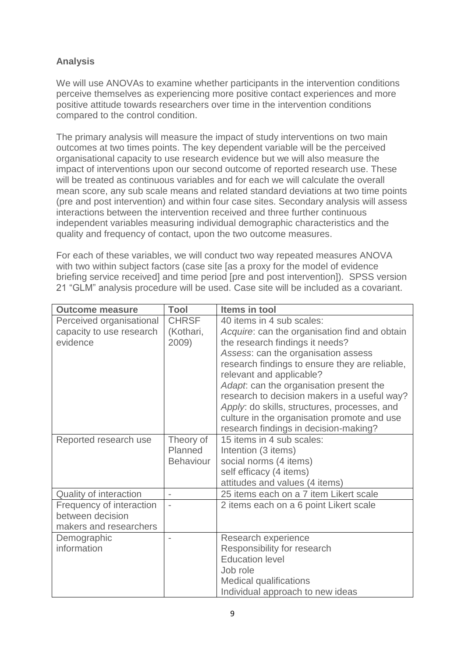# **Analysis**

We will use ANOVAs to examine whether participants in the intervention conditions perceive themselves as experiencing more positive contact experiences and more positive attitude towards researchers over time in the intervention conditions compared to the control condition.

The primary analysis will measure the impact of study interventions on two main outcomes at two times points. The key dependent variable will be the perceived organisational capacity to use research evidence but we will also measure the impact of interventions upon our second outcome of reported research use. These will be treated as continuous variables and for each we will calculate the overall mean score, any sub scale means and related standard deviations at two time points (pre and post intervention) and within four case sites. Secondary analysis will assess interactions between the intervention received and three further continuous independent variables measuring individual demographic characteristics and the quality and frequency of contact, upon the two outcome measures.

For each of these variables, we will conduct two way repeated measures ANOVA with two within subject factors (case site [as a proxy for the model of evidence briefing service received] and time period [pre and post intervention]). SPSS version 21 "GLM" analysis procedure will be used. Case site will be included as a covariant.

| <b>Outcome measure</b>   | <b>Tool</b>      | Items in tool                                  |
|--------------------------|------------------|------------------------------------------------|
| Perceived organisational | <b>CHRSF</b>     | 40 items in 4 sub scales:                      |
| capacity to use research | (Kothari,        | Acquire: can the organisation find and obtain  |
| evidence                 | 2009)            | the research findings it needs?                |
|                          |                  | Assess: can the organisation assess            |
|                          |                  | research findings to ensure they are reliable, |
|                          |                  | relevant and applicable?                       |
|                          |                  | Adapt: can the organisation present the        |
|                          |                  | research to decision makers in a useful way?   |
|                          |                  | Apply: do skills, structures, processes, and   |
|                          |                  | culture in the organisation promote and use    |
|                          |                  | research findings in decision-making?          |
| Reported research use    | Theory of        | 15 items in 4 sub scales:                      |
|                          | Planned          | Intention (3 items)                            |
|                          | <b>Behaviour</b> | social norms (4 items)                         |
|                          |                  | self efficacy (4 items)                        |
|                          |                  | attitudes and values (4 items)                 |
| Quality of interaction   | L,               | 25 items each on a 7 item Likert scale         |
| Frequency of interaction | i,               | 2 items each on a 6 point Likert scale         |
| between decision         |                  |                                                |
| makers and researchers   |                  |                                                |
| Demographic              |                  | Research experience                            |
| information              |                  | Responsibility for research                    |
|                          |                  | <b>Education level</b>                         |
|                          |                  | Job role                                       |
|                          |                  | <b>Medical qualifications</b>                  |
|                          |                  | Individual approach to new ideas               |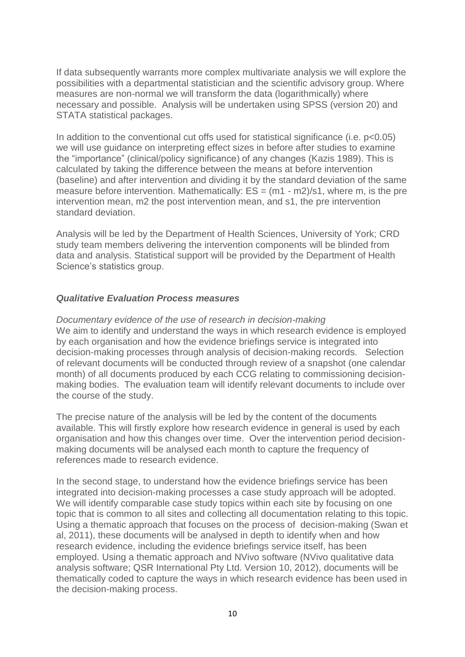If data subsequently warrants more complex multivariate analysis we will explore the possibilities with a departmental statistician and the scientific advisory group. Where measures are non-normal we will transform the data (logarithmically) where necessary and possible. Analysis will be undertaken using SPSS (version 20) and STATA statistical packages.

In addition to the conventional cut offs used for statistical significance (i.e.  $p<0.05$ ) we will use guidance on interpreting effect sizes in before after studies to examine the "importance" (clinical/policy significance) of any changes (Kazis 1989). This is calculated by taking the difference between the means at before intervention (baseline) and after intervention and dividing it by the standard deviation of the same measure before intervention. Mathematically:  $ES = (m1 - m2)/s1$ , where m, is the pre intervention mean, m2 the post intervention mean, and s1, the pre intervention standard deviation.

Analysis will be led by the Department of Health Sciences, University of York; CRD study team members delivering the intervention components will be blinded from data and analysis. Statistical support will be provided by the Department of Health Science's statistics group.

### *Qualitative Evaluation Process measures*

*Documentary evidence of the use of research in decision-making* We aim to identify and understand the ways in which research evidence is employed by each organisation and how the evidence briefings service is integrated into decision-making processes through analysis of decision-making records. Selection of relevant documents will be conducted through review of a snapshot (one calendar month) of all documents produced by each CCG relating to commissioning decisionmaking bodies. The evaluation team will identify relevant documents to include over the course of the study.

The precise nature of the analysis will be led by the content of the documents available. This will firstly explore how research evidence in general is used by each organisation and how this changes over time. Over the intervention period decisionmaking documents will be analysed each month to capture the frequency of references made to research evidence.

In the second stage, to understand how the evidence briefings service has been integrated into decision-making processes a case study approach will be adopted. We will identify comparable case study topics within each site by focusing on one topic that is common to all sites and collecting all documentation relating to this topic. Using a thematic approach that focuses on the process of decision-making (Swan et al, 2011), these documents will be analysed in depth to identify when and how research evidence, including the evidence briefings service itself, has been employed. Using a thematic approach and NVivo software (NVivo qualitative data analysis software; QSR International Pty Ltd. Version 10, 2012), documents will be thematically coded to capture the ways in which research evidence has been used in the decision-making process.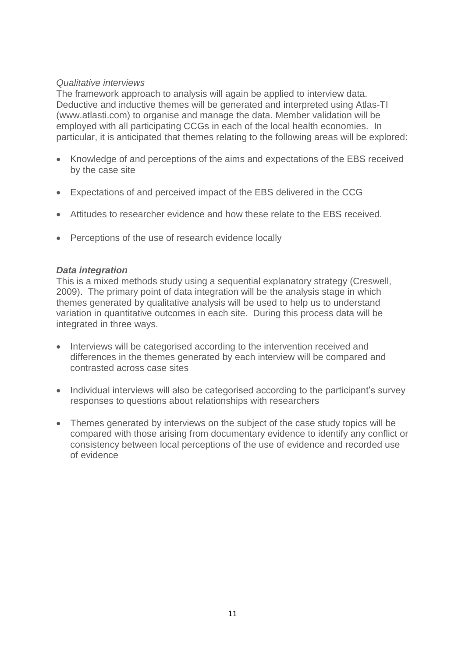## *Qualitative interviews*

The framework approach to analysis will again be applied to interview data. Deductive and inductive themes will be generated and interpreted using Atlas-TI [\(www.atlasti.com\)](http://www.atlasti.com/) to organise and manage the data. Member validation will be employed with all participating CCGs in each of the local health economies. In particular, it is anticipated that themes relating to the following areas will be explored:

- Knowledge of and perceptions of the aims and expectations of the EBS received by the case site
- Expectations of and perceived impact of the EBS delivered in the CCG
- Attitudes to researcher evidence and how these relate to the EBS received.
- Perceptions of the use of research evidence locally

### *Data integration*

This is a mixed methods study using a sequential explanatory strategy (Creswell, 2009). The primary point of data integration will be the analysis stage in which themes generated by qualitative analysis will be used to help us to understand variation in quantitative outcomes in each site. During this process data will be integrated in three ways.

- Interviews will be categorised according to the intervention received and differences in the themes generated by each interview will be compared and contrasted across case sites
- Individual interviews will also be categorised according to the participant's survey responses to questions about relationships with researchers
- Themes generated by interviews on the subject of the case study topics will be compared with those arising from documentary evidence to identify any conflict or consistency between local perceptions of the use of evidence and recorded use of evidence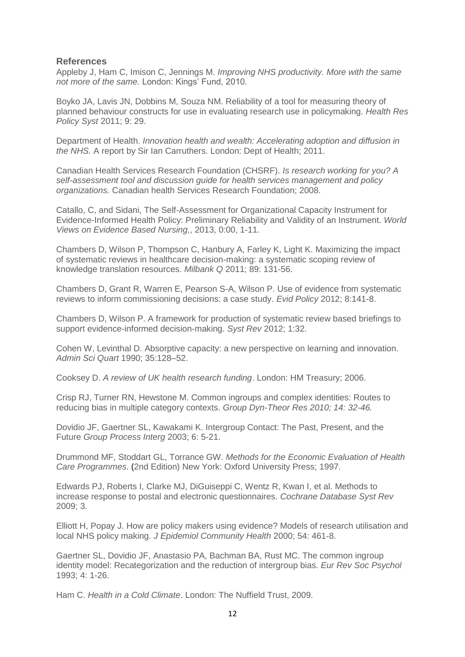#### **References**

Appleby J, Ham C, Imison C, Jennings M. *Improving NHS productivity. More with the same not more of the same.* London: Kings' Fund, 2010.

Boyko JA, Lavis JN, Dobbins M, Souza NM. Reliability of a tool for measuring theory of planned behaviour constructs for use in evaluating research use in policymaking. *Health Res Policy Syst* 2011; 9: 29.

Department of Health. *Innovation health and wealth: Accelerating adoption and diffusion in the NHS.* A report by Sir Ian Carruthers. London: Dept of Health; 2011.

Canadian Health Services Research Foundation (CHSRF). *Is research working for you? A self-assessment tool and discussion guide for health services management and policy organizations.* Canadian health Services Research Foundation; 2008.

Catallo, C, and Sidani, The Self-Assessment for Organizational Capacity Instrument for Evidence-Informed Health Policy: Preliminary Reliability and Validity of an Instrument. *World Views on Evidence Based Nursing,*, 2013, 0:00, 1-11.

Chambers D, Wilson P, Thompson C, Hanbury A, Farley K, Light K. Maximizing the impact of systematic reviews in healthcare decision-making: a systematic scoping review of knowledge translation resources. *Milbank Q* 2011; 89: 131-56.

Chambers D, Grant R, Warren E, Pearson S-A, Wilson P. Use of evidence from systematic reviews to inform commissioning decisions: a case study. *Evid Policy* 2012; 8:141-8.

Chambers D, Wilson P. A framework for production of systematic review based briefings to support evidence-informed decision-making. *Syst Rev* 2012; 1:32.

Cohen W, Levinthal D. Absorptive capacity: a new perspective on learning and innovation. *Admin Sci Quart* 1990; 35:128–52.

Cooksey D. *A review of UK health research funding*. London: HM Treasury; 2006.

Crisp RJ, Turner RN, Hewstone M. Common ingroups and complex identities: Routes to reducing bias in multiple category contexts. *Group Dyn-Theor Res 2010; 14: 32-46.*

Dovidio JF, Gaertner SL, Kawakami K. Intergroup Contact: The Past, Present, and the Future *Group Process Interg* 2003; 6: 5-21.

Drummond MF, Stoddart GL, Torrance GW. *Methods for the Economic Evaluation of Health Care Programmes*. **(**2nd Edition) New York: Oxford University Press; 1997.

Edwards PJ, Roberts I, Clarke MJ, DiGuiseppi C, Wentz R, Kwan I, et al. Methods to increase response to postal and electronic questionnaires. *Cochrane Database Syst Rev* 2009; 3.

Elliott H, Popay J. How are policy makers using evidence? Models of research utilisation and local NHS policy making. *J Epidemiol Community Health* 2000; 54: 461-8.

Gaertner SL, Dovidio JF, Anastasio PA, Bachman BA, Rust MC. The common ingroup identity model: Recategorization and the reduction of intergroup bias. *Eur Rev Soc Psychol* 1993; 4: 1-26.

Ham C. *Health in a Cold Climate*. London: The Nuffield Trust, 2009.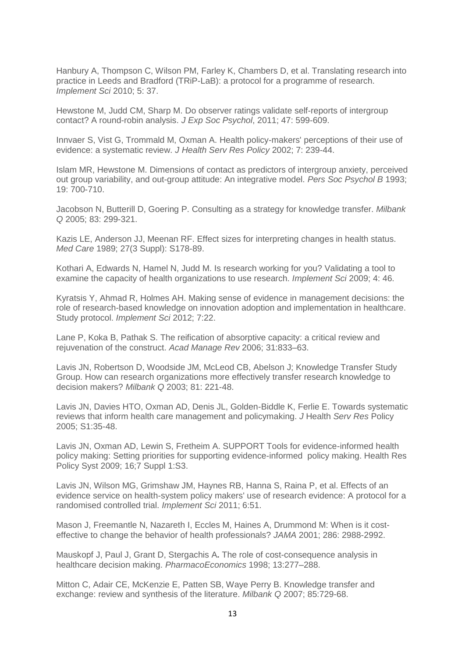Hanbury A, Thompson C, Wilson PM, Farley K, Chambers D, et al. Translating research into practice in Leeds and Bradford (TRiP-LaB): a protocol for a programme of research. *Implement Sci* 2010; 5: 37.

Hewstone M, Judd CM, Sharp M. Do observer ratings validate self-reports of intergroup contact? A round-robin analysis. *J Exp Soc Psychol*, 2011; 47: 599-609.

Innvaer S, Vist G, Trommald M, Oxman A. Health policy-makers' perceptions of their use of evidence: a systematic review. *J Health Serv Res Policy* 2002; 7: 239-44.

Islam MR, Hewstone M. Dimensions of contact as predictors of intergroup anxiety, perceived out group variability, and out-group attitude: An integrative model. *Pers Soc Psychol B* 1993; 19: 700-710.

Jacobson N, Butterill D, Goering P. Consulting as a strategy for knowledge transfer. *Milbank Q* 2005; 83: 299-321.

Kazis LE, Anderson JJ, Meenan RF. Effect sizes for interpreting changes in health status. *Med Care* 1989; 27(3 Suppl): S178-89.

Kothari A, Edwards N, Hamel N, Judd M. Is research working for you? Validating a tool to examine the capacity of health organizations to use research. *Implement Sci* 2009; 4: 46.

Kyratsis Y, Ahmad R, Holmes AH. Making sense of evidence in management decisions: the role of research-based knowledge on innovation adoption and implementation in healthcare. Study protocol. *Implement Sci* 2012; 7:22.

Lane P, Koka B, Pathak S. The reification of absorptive capacity: a critical review and rejuvenation of the construct. *Acad Manage Rev* 2006; 31:833–63.

Lavis JN, Robertson D, Woodside JM, McLeod CB, Abelson J; Knowledge Transfer Study Group. How can research organizations more effectively transfer research knowledge to decision makers? *Milbank Q* 2003; 81: 221-48.

Lavis JN, Davies HTO, Oxman AD, Denis JL, Golden-Biddle K, Ferlie E. Towards systematic reviews that inform health care management and policymaking. *J* Health *[Serv Res](http://www.ncbi.nlm.nih.gov/pubmed/22535902)* Policy 2005; S1:35-48.

Lavis JN, Oxman AD, Lewin S, Fretheim A. SUPPORT Tools for evidence-informed health policy making: Setting priorities for supporting evidence-informed policy making. Health Res Policy Syst 2009; 16;7 Suppl 1:S3.

Lavis JN, Wilson MG, Grimshaw JM, Haynes RB, Hanna S, Raina P, et al. Effects of an evidence service on health-system policy makers' use of research evidence: A protocol for a randomised controlled trial. *Implement Sci* 2011; 6:51.

Mason J, Freemantle N, Nazareth I, Eccles M, Haines A, Drummond M: When is it costeffective to change the behavior of health professionals? *JAMA* 2001; 286: 2988-2992.

Mauskopf J, Paul J, Grant D, Stergachis A**.** The role of cost-consequence analysis in healthcare decision making. *PharmacoEconomics* 1998; 13:277–288.

Mitton C, Adair CE, McKenzie E, Patten SB, Waye Perry B. Knowledge transfer and exchange: review and synthesis of the literature. *Milbank Q* 2007; 85:729-68.